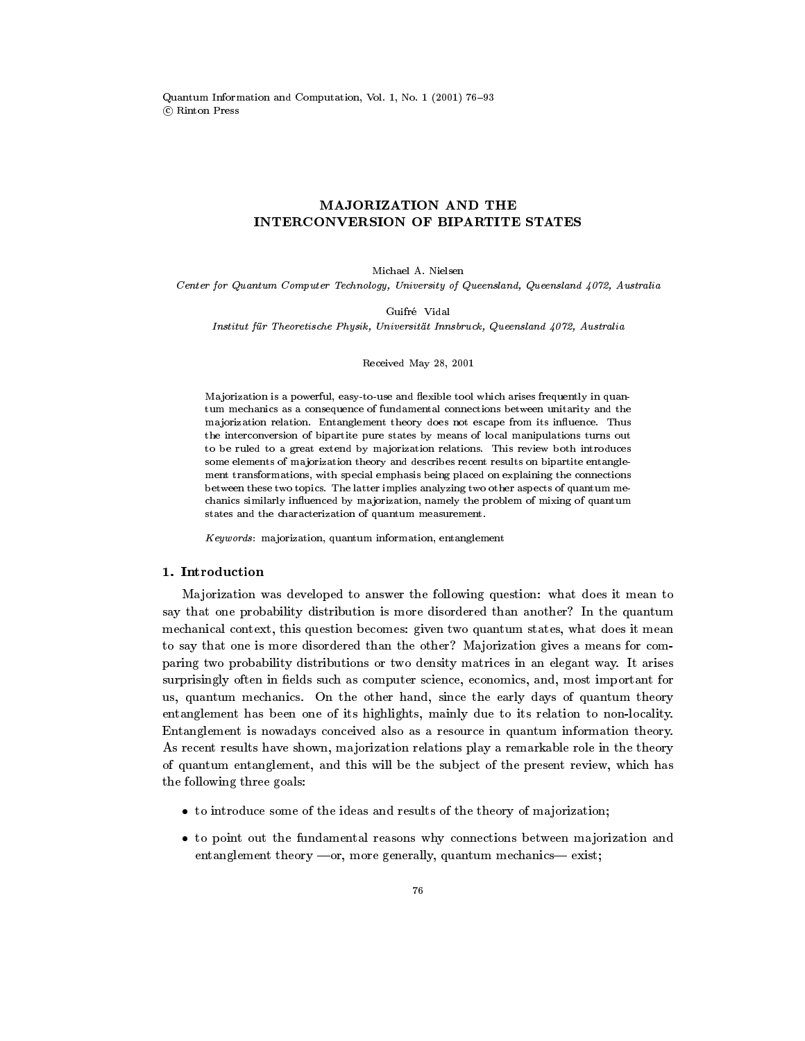Quantum Information and Computation, Vol. 1, No. 1 (2001) 76-93 <sup>c</sup> Rinton Press

# **MAJORIZATION AND THE**

Michael A. Nielsen

Center for Quantum Computer Technology, University of Queensland, Queensland 4072, Australia

Guifré Vidal

Institut fur Theoretische Physik, Universitat Innsbruck, Queensland 4072, Australia

Received May 28, 2001

Majorization is a powerful, easy-to-use and flexible tool which arises frequently in quantum mechanics as a consequence of fundamental connections between unitarity and the majorization relation. Entanglement theory does not escape from its influence. Thus the interconversion of bipartite pure states by means of local manipulations turns out to be ruled to a great extend by majorization relations. This review both introduces some elements of majorization theory and describes recent results on bipartite entanglement transformations, with special emphasis being placed on explaining the connections between these two topics. The latter implies analyzing two other aspects of quantum me chanics similarly influenced by majorization, namely the problem of mixing of quantum states and the characterization of quantum measurement.

 $Keywords:$  majorization, quantum information, entanglement

### 1. Introduction

Ma jorization was developed to answer the following question: what does it mean to say that one probability distribution is more disordered than another? In the quantum mechanical context, this question becomes: given two quantum states, what does it mean to say that one is more disordered than the other? Majorization gives a means for comparing two probability distributions or two density matrices in an elegant way. It arises surprisingly often in fields such as computer science, economics, and, most important for us, quantum mechanics. On the other hand, since the early days of quantum theory entanglement has been one of its highlights, mainly due to its relation to non-locality. Entanglement is nowadays conceived also as a resource in quantum information theory. As recent results have shown, majorization relations play a remarkable role in the theory of quantum entanglement, and this will be the sub ject of the present review, which has the following three goals:

- to introduce some of the ideas and results of the theory of majorization;
- to point out the fundamental reasons why connections between majorization and entanglement theory  $\equiv$ or, more generally, quantum mechanics $\equiv$  exist;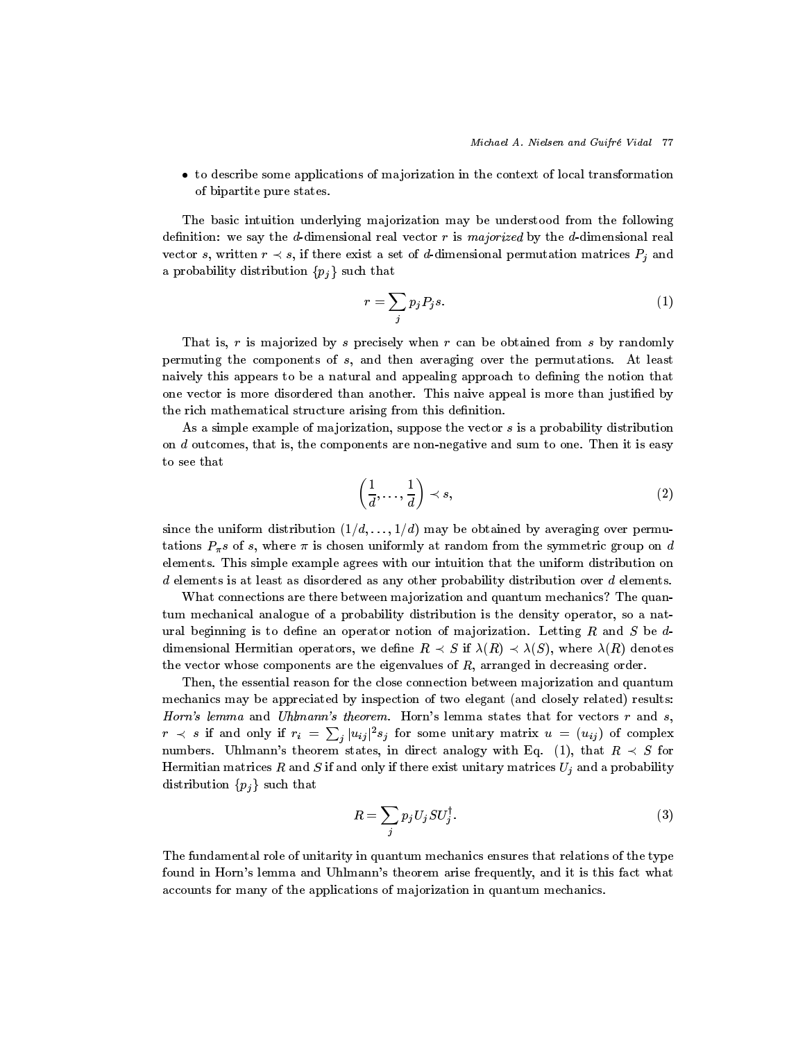• to describe some applications of majorization in the context of local transformation of bipartite pure states.

The basic intuition underlying majorization may be understood from the following definition: we say the d-dimensional real vector  $r$  is majorized by the d-dimensional real vector s, written r  $s$ , if there exist a set of d-dimensional permutation matrices  $\mathbf{F}_{\mathbf{z}}$ a probability distribution  $\{p_j\}$  such that

$$
r = \sum_{j} p_j P_j s. \tag{1}
$$

That is, r is majorized by s precisely when r can be obtained from s by randomly permuting the components of  $s$ , and then averaging over the permutations. At least naively this appears to be a natural and appealing approach to dening the notion that one vector is more disordered than another. This naive appeal is more than justied by the rich mathematical structure arising from this definition.

As a simple example of majorization, suppose the vector  $s$  is a probability distribution on d outcomes, that is, the components are non-negative and sum to one. Then it is easy to see that

$$
\left(\frac{1}{d},\ldots,\frac{1}{d}\right)\prec s,\tag{2}
$$

since the uniform distribution  $(1/d, \ldots, 1/d)$  may be obtained by averaging over permutations  $P_{\pi} s$  of s, where  $\pi$  is chosen uniformly at random from the symmetric group on d elements. This simple example agrees with our intuition that the uniform distribution on  $d$  elements is at least as disordered as any other probability distribution over  $d$  elements.

What connections are there between majorization and quantum mechanics? The quantum mechanical analogue of a probability distribution is the density operator, so a natural beginning is to define an operator notion of majorization. Letting  $R$  and  $S$  be  $d$ dimensional Hermitian operators, we dimensional  $\alpha$  if  $\alpha$  if  $\alpha$ , where  $\alpha$  if  $\alpha$ , where  $\alpha$ the vector whose components are the eigenvalues of  $R$ , arranged in decreasing order.

Then, the essential reason for the close connection between ma jorization and quantum mechanics may be appreciated by inspection of two elegant (and closely related) results: Horn's lemma and Uhlmann's theorem. Horn's lemma states that for vectors  $r$  and  $s$ ,  $r\prec s$  if and only if  $r_i\ =\ \sum_j |u_{ij}|^2 s_j$  for some unitary matrix  $u\ =\ (u_{ij})$  of complex numbers. Uhlmann's theorem states, in direct analogy with Eq. (1), that  $R \prec S$  for Hermitian matrices R and S if and only if there exist unitary matrices  $U_j$  and a probability distribution for  $\mathbf{u}$  g such that the such that that  $\mathbf{u}$  such that the such that that  $\mathbf{u}$  such that that the such that the such that the such that the such that the such that the such that the such that the

$$
R = \sum_{j} p_j U_j S U_j^{\dagger}.
$$
 (3)

The fundamental role of unitarity in quantum mechanics ensures that relations of the type found in Horn's lemma and Uhlmann's theorem arise frequently, and it is this fact what accounts for many of the applications of majorization in quantum mechanics.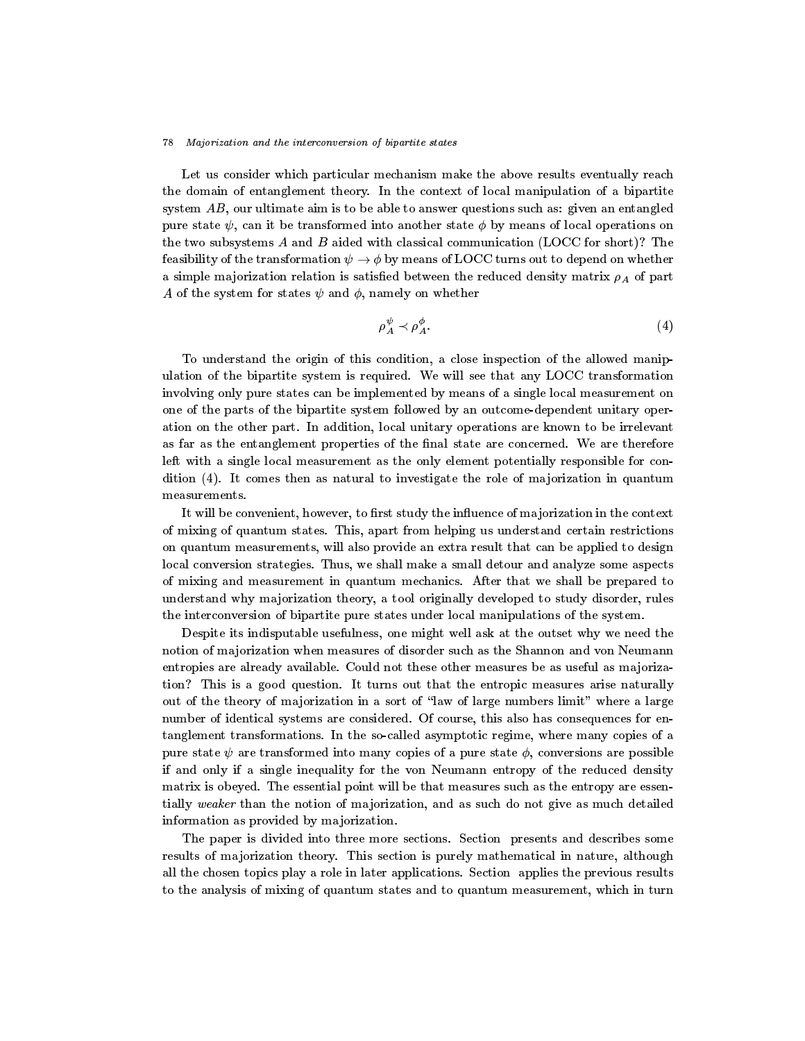Let us consider which particular mechanism make the above results eventually reach the domain of entanglement theory. In the context of local manipulation of a bipartite system  $AB$ , our ultimate aim is to be able to answer questions such as: given an entangled pure state  $\psi$ , can it be transformed into another state  $\phi$  by means of local operations on the two subsystems  $\tilde{A}$  and  $\tilde{B}$  aided with classical communication (LOCC for short)? The feasibility of the transformation  $\psi \to \phi$  by means of LOCC turns out to depend on whether a simple majorization relation is satisfied between the reduced density matrix  $\rho_A$  of part A of the system for states  $\psi$  and  $\phi$ , namely on whether

$$
\rho_A^{\psi} \prec \rho_A^{\phi}.
$$
 (4)

To understand the origin of this condition, a close inspection of the allowed manipulation of the bipartite system is required. We will see that any LOCC transformation involving only pure states can be implemented by means of a single local measurement on one of the parts of the bipartite system followed by an outcome-dependent unitary operation on the other part. In addition, local unitary operations are known to be irrelevant as far as the entanglement properties of the final state are concerned. We are therefore left with asingle local measurement as the only element potentially responsible for condition (4). It comes then as natural to investigate the role of majorization in quantum measurements.

It will be convenient, however, to first study the influence of majorization in the context of mixing of quantum states. This, apart from helping us understand certain restrictions on quantum measurements, will also provide an extra result that can be applied to design local conversion strategies. Thus, we shall make a small detour and analyze some aspects of mixing and measurement in quantum mechanics. After that we shall be prepared to understand why ma jorization theory, a tool originally developed to study disorder, rules the interconversion of bipartite pure states under local manipulations of the system.

Despite its indisputable usefulness, one might well ask at the outset why we need the notion of majorization when measures of disorder such as the Shannon and von Neumann entropies are already available. Could not these other measures be as useful as ma jorization? This is a good question. It turns out that the entropic measures arise naturally out of the theory of majorization in a sort of "law of large numbers limit" where a large number of identical systems are considered. Of course, this also has consequences for entanglement transformations. In theso-called asymptotic regime, where many copies of a pure state  $\psi$  are transformed into many copies of a pure state  $\phi$ , conversions are possible if and only if a single inequality for the von Neumann entropy of the reduced density matrix is obeyed. The essential point will be that measures such as the entropy are essentially weaker than the notion of majorization, and as such do not give as much detailed information as provided by majorization.

The paper is divided into three more sections. Section presents and describes some results of majorization theory. This section is purely mathematical in nature, although all the chosen topics play a role in later applications. Section applies the previous results to the analysis of mixing of quantum states and to quantum measurement, which in turn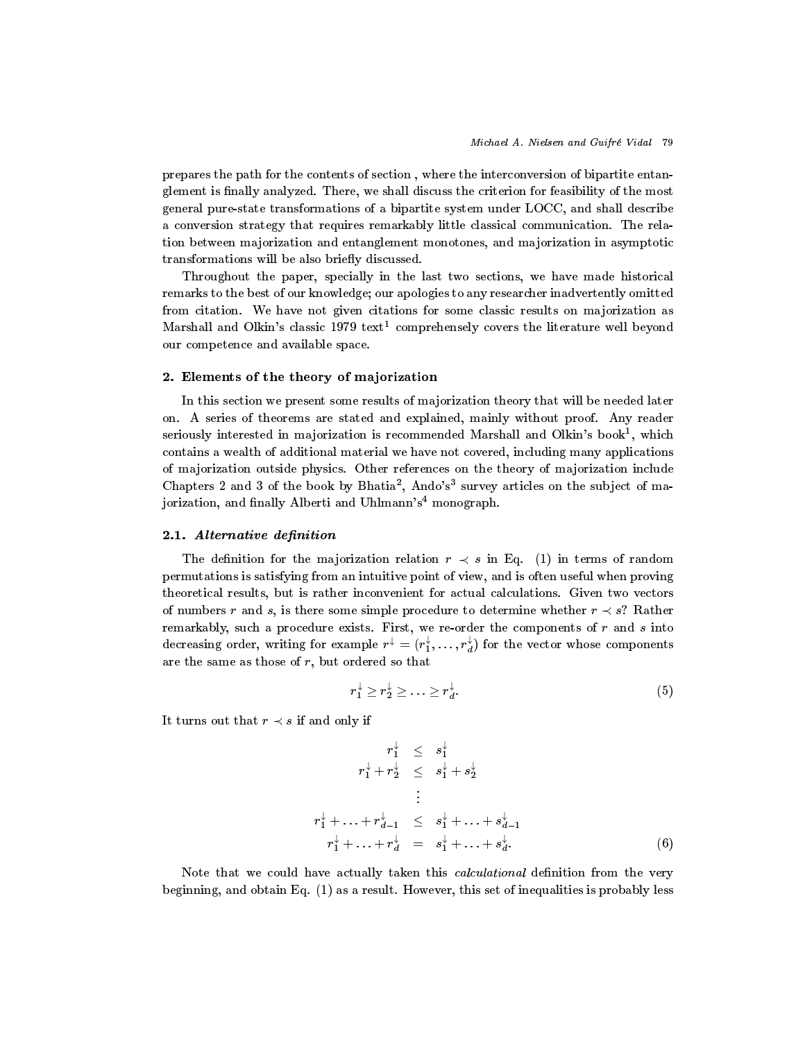prepares the path for the contents of section , where the interconversion of bipartite entanglement is finally analyzed. There, we shall discuss the criterion for feasibility of the most general pure-state transformations of a bipartite system under LOCC, and shall describe a conversion strategy that requires remarkably little classical communication. The relation between ma jorization and entanglement monotones, and ma jorization in asymptotic transformations will be also briefly discussed.

Throughout the paper, specially in the last two sections, we have made historical remarks to the best of our knowledge; our apologies to any researcher inadvertently omitted from citation. We have not given citations for some classic results on majorization as Marshall and Olkin's classic 1979 text<sup>1</sup> comprehensely covers the literature well beyond our competence and available space.

### 2. Elements of the theory of ma jorization

In this section we present some results of majorization theory that will be needed later on. A series of theorems are stated and explained, mainly without proof. Any reader seriously interested in majorization is recommended Marshall and Olkin's book<sup>1</sup>, which contains a wealth of additional material we have not covered, including many applications of ma jorization outside physics. Other references on the theory of ma jorization include Chapters 2 and 3 of the book by Bhatia<sup>2</sup>, Ando's<sup>3</sup> survey articles on the subject of majorization, and finally Alberti and Uhlmann's<sup>4</sup> monograph.

#### 2.1. Alternative definition

The definition for the majorization relation  $r \prec s$  in Eq. (1) in terms of random permutations is satisfying from an intuitive point of view, and is often useful when proving theoretical results, but is rather inconvenient for actual calculations. Given two vectors of numbers r and s, is there some simple procedure to determine whether r s? Rather remarkably, such a procedure exists. First, we re-order the components of  $r$  and  $s$  into decreasing order, writing for example  $r^*=(r^*_1,\ldots,r^*_d)$  for the vector whose components are the same as those of r, but ordered so that

$$
r_1^{\downarrow} \geq r_2^{\downarrow} \geq \ldots \geq r_d^{\downarrow}.\tag{5}
$$

It turns out that results out that results out that results in the control of and only if and only if and only if and only if and only if and only if and only if and only if and only if and only if and only if and only if

$$
r_1^{\downarrow} \leq s_1^{\downarrow}
$$
  
\n
$$
r_1^{\downarrow} + r_2^{\downarrow} \leq s_1^{\downarrow} + s_2^{\downarrow}
$$
  
\n
$$
\vdots
$$
  
\n
$$
r_1^{\downarrow} + \ldots + r_{d-1}^{\downarrow} \leq s_1^{\downarrow} + \ldots + s_{d-1}^{\downarrow}
$$
  
\n
$$
r_1^{\downarrow} + \ldots + r_d^{\downarrow} = s_1^{\downarrow} + \ldots + s_d^{\downarrow}.
$$
  
\n(6)

Note that we could have actually taken this *calculational* definition from the very beginning, and obtain Eq. (1) as a result. However, this set of inequalities is probably less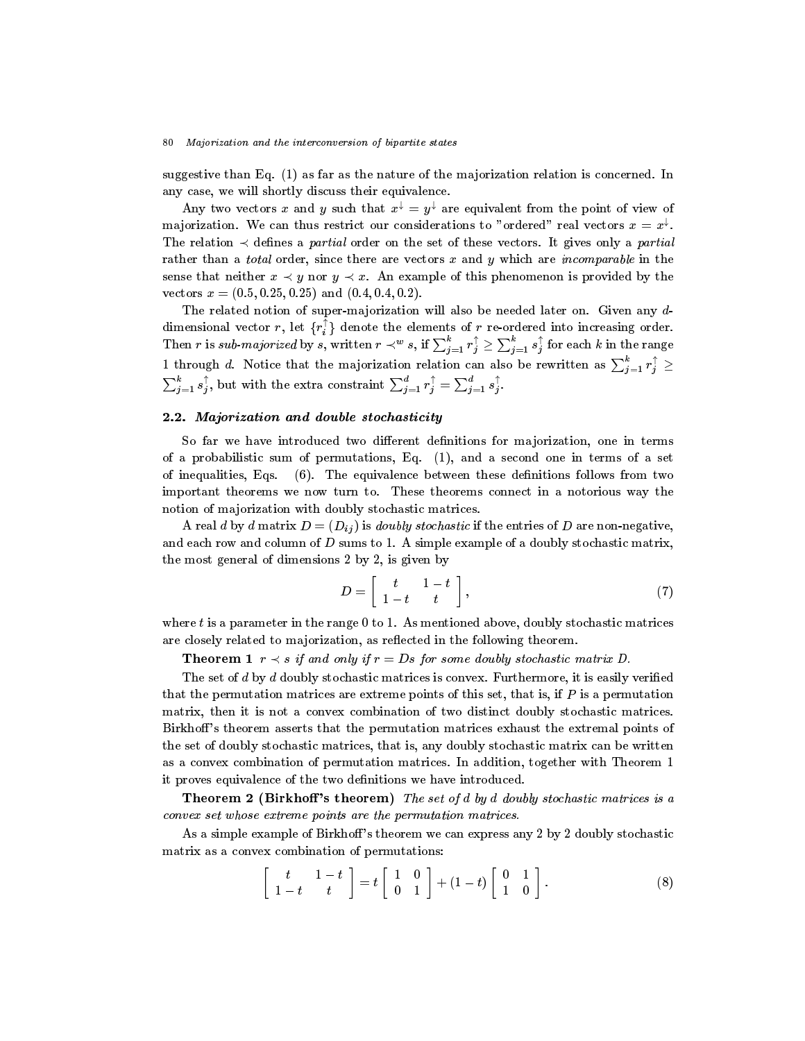suggestive than Eq. (1) as far as the nature of the majorization relation is concerned. In any case, we will shortly discuss their equivalence.

Any two vectors x and y such that  $x^{\downarrow} = y^{\downarrow}$  are equivalent from the point of view of majorization. We can thus restrict our considerations to "ordered" real vectors  $x = x^{\downarrow}$ . The relation of the relation order on the set of the set of the set of the set of the set of the set of the set of the set of the set of the set of the set of the set of the set of the set of the set of the set of the set rather than a total order, since there are vectors  $x$  and  $y$  which are incomparable in the sense that neither x <sup>y</sup> nor <sup>y</sup> x. An example of this phenomenon is provided by the vectors  $x = (0.5, 0.25, 0.25)$  and  $(0.4, 0.4, 0.2)$ .

The related notion of super-majorization will also be needed later on. Given any ddimensional vector  $r,$  let  $\{r_i\}$  denote the elements of  $r$  re-ordered into increasing order. Then r is sub-majorized by s, written  $r \prec^w s$ , if  $\sum_{j=1}^{\kappa} r_j^+ \geq \sum_{j=1}^{\kappa} s_j^+$  for each k in the range 1 through d. Notice that the majorization relation can also be rewritten as  $\sum_{i=1}^{\kappa} r_i^{\dagger} \geq$  $\sum_{i=1}^{\kappa} s_i^{\top}$ , but with the extra constraint  $\sum_{i=1}^{a} r_i^{\top} = \sum_{i=1}^{a} s_i^{\top}$ .

### 2.2. Majorization and double stochasticity

So far we have introduced two different definitions for majorization, one in terms of a probabilistic sum of permutations, Eq.  $(1)$ , and a second one in terms of a set of inequalities, Eqs.  $(6)$ . The equivalence between these definitions follows from two important theorems we now turn to. These theorems connect in a notorious way the notion of ma jorization with doubly stochastic matrices.

A real d by d matrix  $D = (D_{ij})$  is doubly stochastic if the entries of D are non-negative, and each row and column of D sums to 1. A simple example of a doubly stochastic matrix, the most general of dimensions 2 by 2, is given by

$$
D = \left[ \begin{array}{cc} t & 1-t \\ 1-t & t \end{array} \right],\tag{7}
$$

where  $t$  is a parameter in the range 0 to 1. As mentioned above, doubly stochastic matrices are closely related to majorization, as reflected in the following theorem.

Theorem 1 r <sup>s</sup> if and only if <sup>r</sup> <sup>=</sup> Ds for some doubly stochastic matrix D.

The set of  $d$  by  $d$  doubly stochastic matrices is convex. Furthermore, it is easily verified that the permutation matrices are extreme points of this set, that is, if  $P$  is a permutation matrix, then it is not a convex combination of two distinct doubly stochastic matrices. Birkhoff's theorem asserts that the permutation matrices exhaust the extremal points of the set of doubly stochastic matrices, that is, any doubly stochastic matrix can be written as a convex combination of permutation matrices. In addition, together with Theorem 1 it proves equivalence of the two definitions we have introduced.

**Theorem 2 (Birkhoff's theorem)** The set of d by d doubly stochastic matrices is a convex set whose extreme points are the permutation matrices.

As a simple example of Birkhoff's theorem we can express any 2 by 2 doubly stochastic matrix as a convex combination of permutations:

$$
\left[\begin{array}{cc} t & 1-t \\ 1-t & t \end{array}\right] = t \left[\begin{array}{cc} 1 & 0 \\ 0 & 1 \end{array}\right] + (1-t) \left[\begin{array}{cc} 0 & 1 \\ 1 & 0 \end{array}\right]. \tag{8}
$$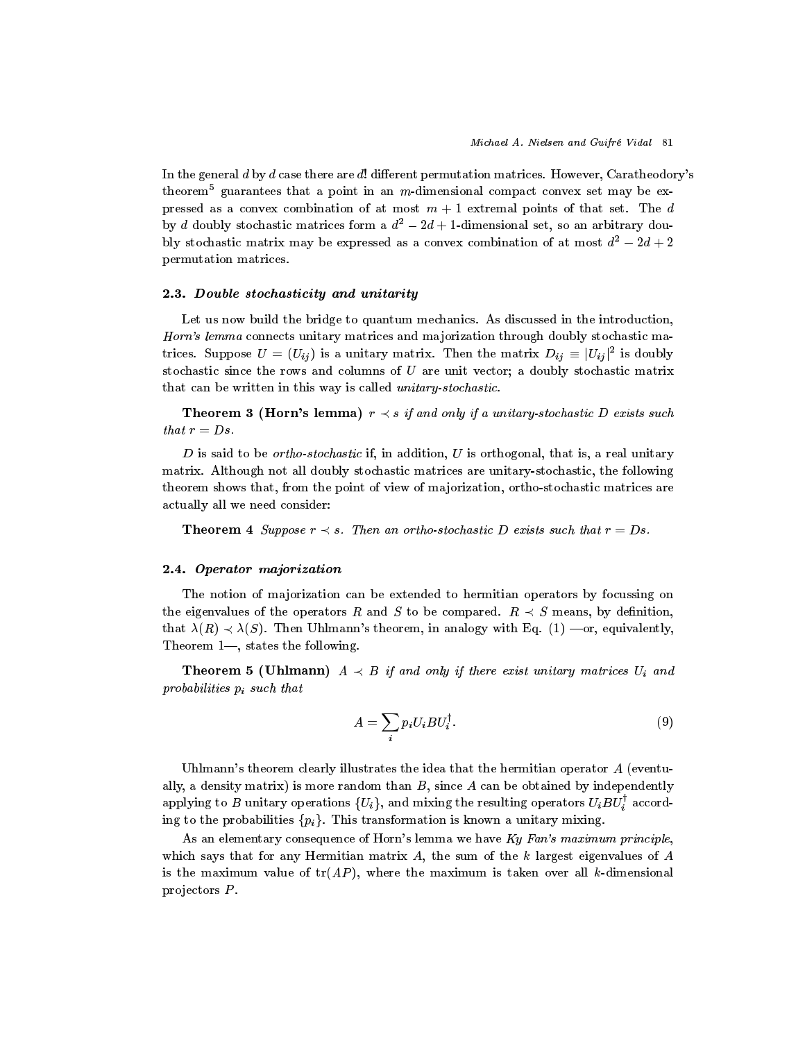In the general  $d$  by  $d$  case there are  $d!$  different permutation matrices. However, Caratheodory's theorem<sup>5</sup> guarantees that a point in an m-dimensional compact convex set may be expressed as a convex combination of at most  $m + 1$  extremal points of that set. The d by a doubly stochastic matrices form a  $a^2 - 2a + 1$ -dimensional set, so an arbitrary doubly stochastic matrix may be expressed as a convex combination of at most  $a^2 = 2a + 2$ permutation matrices.

#### 2.3. Double stochasticity and unitarity

Let us now build the bridge to quantum mechanics. As discussed in the introduction, Horn's lemma connects unitary matrices and majorization through doubly stochastic matrices. Suppose  $U = (U_{ij})$  is a unitary matrix. Then the matrix  $D_{ij} = |U_{ij}|$  is doubly stochastic since the rows and columns of  $U$  are unit vector; a doubly stochastic matrix that can be written in this way is called unitary-stochastic.

**Theorem 3 (Horn's lemma)**  $r \prec s$  if and only if a unitary-stochastic D exists such that  $r = Ds$ .

D is said to be *ortho-stochastic* if, in addition, U is orthogonal, that is, a real unitary matrix. Although not all doubly stochastic matrices are unitary-stochastic, the following theorem shows that, from the point of view of majorization, ortho-stochastic matrices are actually all we need consider:

Theorem 4 Suppose r s. Then an ortho-stochastic <sup>D</sup> exists such that <sup>r</sup> <sup>=</sup> Ds.

### 2.4. Operator majorization

The notion of majorization can be extended to hermitian operators by focussing on the eigenvalues of the operators R and S to be compared. R and S to be compared. R and S  $\alpha$  means, by definition, by definition, by definition, by definition, by definition, by definition, by definition,  $\alpha$ that  $\lambda(R) \prec \lambda(S)$ . Then Uhlmann's theorem, in analogy with Eq. (1) —or, equivalently, Theorem  $1-$ , states the following.

The corresponding to the set  $\mu$  and only if there exists unitary matrices  $\mathbf{v}_i$  and  $\mathbf{v}_i$ probabilities  $p_i$  such that

$$
A = \sum_{i} p_i U_i B U_i^{\dagger}.
$$
\n(9)

Uhlmann's theorem clearly illustrates the idea that the hermitian operator  $A$  (eventually, a density matrix) is more random than  $B$ , since  $A$  can be obtained by independently applying to B unitary operations  $\{U_i\},$  and mixing the resulting operators  $U_iBU_i^+$  according to the probabilities for  $\mathbf{r}_i$  , the probabilities is the mixing. This is transformation is the mixing.

As an elementary consequence of Horn's lemma we have  $Ky$  Fan's maximum principle, which says that for any Hermitian matrix  $A$ , the sum of the  $k$  largest eigenvalues of  $A$ is the maximum value of  $tr(AP)$ , where the maximum is taken over all k-dimensional pro jectors P .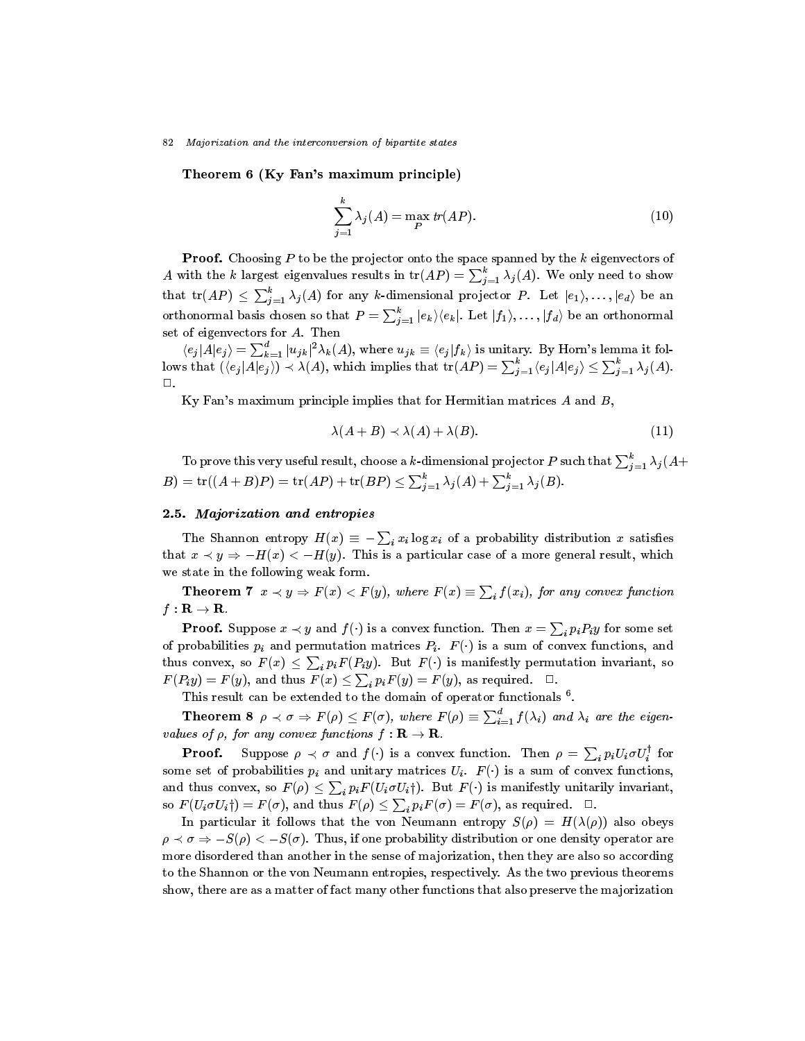Theorem 6 (Ky Fan's maximum principle)

$$
\sum_{j=1}^{k} \lambda_j(A) = \max_P tr(AP).
$$
\n(10)

**Proof.** Choosing  $P$  to be the projector onto the space spanned by the  $k$  eigenvectors of A with the k largest eigenvalues results in  $\text{tr}(AP) = \sum_{i=1}^{n} \lambda_j(A)$ . We only need to show that  $tr(AP) \leq \sum_{i=1}^{k} \lambda_i(A)$  for any k-dimensional projector P. Let  $|e_1\rangle,\ldots,|e_d\rangle$  be an orthonormal basis chosen so that  $P = \sum_{i=1}^{\kappa} |e_k\rangle\langle e_k|$ . Let  $|f_1\rangle, \ldots, |f_d\rangle$  be an orthonormal set of eigenvectors for A. Then

 $\langle e_j|A|e_j\rangle = \sum_{k=1}^a |u_{jk}|^2\lambda_k(A)$ , where  $u_{jk} \equiv \langle e_j|f_k\rangle$  is unitary. By Horn's lemma it follows that  $(\langle e_j | A | e_j \rangle) \prec \lambda(A)$ , which implies that  $\text{tr}(AP) = \sum_{i=1}^{\kappa} \langle e_j | A | e_j \rangle \leq \sum_{i=1}^{\kappa} \lambda_j(A)$ .  $\Box$ .

Ky Fan's maximum principle implies that for Hermitian matrices  $A$  and  $B$ ,

$$
\lambda(A+B) \prec \lambda(A) + \lambda(B). \tag{11}
$$

To prove this very useful result, choose a  $k$ -dimensional projector  $P$  such that  $\sum_{i=1}^{\kappa} \lambda_j(A+$  $\mathcal{B}(\mathcal{B})=\mathrm{tr}((A+B)P)=\mathrm{tr}(AP)+\mathrm{tr}(BP)\leq \sum_{i=1}^{\kappa}\lambda_{j}(A)+\sum_{i=1}^{\kappa}\lambda_{j}(B).$ 

#### 2.5. Majorization and entropies

The Shannon entropy  $H(x) \equiv -\sum_i x_i \log x_i$  of a probability distribution x satisfies that  $\mathcal{H}$  is a particular case of a more general result, which are general result, which are general result, which are general result, which are general result, which are general result, which are general result, whic we state in the following weak form.

**Theorem 7**  $x \prec y \Rightarrow F(x) < F(y)$ , where  $F(x) \equiv \sum_i f(x_i)$ , for any convex function f : R ! R.

**Proof.** Suppose  $x \prec y$  and  $f(\cdot)$  is a convex function. Then  $x = \sum_i p_i P_i y$  for some set of probabilities  $p_i$  and permutation matrices  $P_i$ .  $F(\cdot)$  is a sum of convex functions, and thus convex, so  $F(x) \leq \sum_i p_i F(P_i y)$ . But  $F(\cdot)$  is manifestly permutation invariant, so  $F(P_iy)=F(y), \text{ and thus } F(x)\leq \sum_i p_i F(y)=F(y), \text{ as required.} \quad \Box.$ 

This result can be extended to the domain of operator functionals <sup>6</sup>

**Theorem 8**  $\rho \prec \sigma \Rightarrow F(\rho) \leq F(\sigma)$ , where  $F(\rho) \equiv \sum_{i=1}^{a} f(\lambda_i)$  and  $\lambda_i$  are the eigenvalues of , for any convex functions functions functions functions functions functions functions functions  $\mathcal{A}$ 

**Proof.** Suppose  $\rho \prec \sigma$  and  $f(\cdot)$  is a convex function. Then  $\rho = \sum_i p_i U_i \sigma U_i^{\dagger}$  for some set of probabilities  $p_i$  and unitary matrices  $U_i$ .  $F(\cdot)$  is a sum of convex functions, and thus convex, so  $F(\rho) \leq \sum_i p_i F(U_i \sigma U_i)$ . But  $F(\cdot)$  is manifestly unitarily invariant,  ${\rm so}\,\, F(U_i\sigma U_i\dag) = F(\sigma), \text{ and thus }F(\rho)\leq \sum_i p_iF(\sigma) = F(\sigma), \text{ as required.}\quad \Box.$ 

In particular it follows that the von Neumann entropy  $S(\rho) = H(\lambda(\rho))$  also obeys ) S() <sup>&</sup>lt; S(). Thus, if one probability distribution or one density operator are more disordered than another in the sense of majorization, then they are also so according to the Shannon or the von Neumann entropies, respectively. As the two previous theorems show, there are as a matter of fact many other functions that also preserve the majorization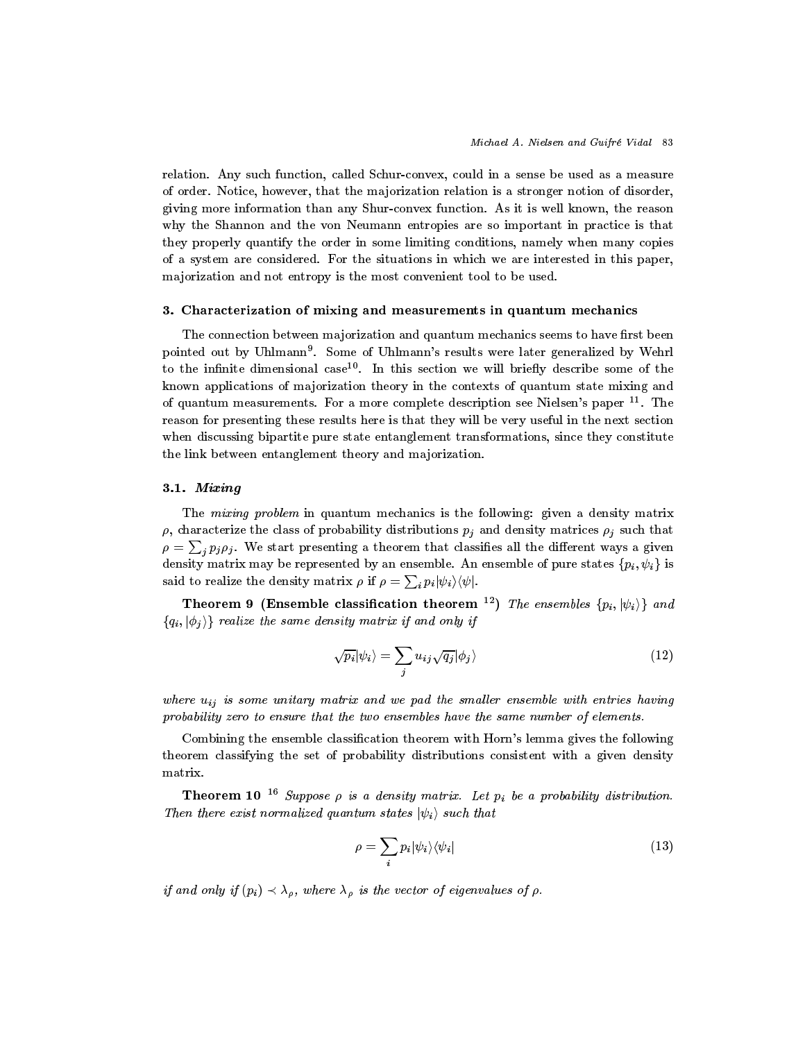relation. Any such function, called Schur-convex, could in asense be used as a measure of order. Notice, however, that the ma jorization relation is a stronger notion of disorder, giving more information than any Shur-convex function. As it is well known, the reason why the Shannon and the von Neumann entropies are so important in practice is that they properly quantify the order in some limiting conditions, namely when many copies of a system are considered. For the situations in which we are interested in this paper, ma jorization and not entropy is the most convenient tool to be used.

#### 3. Characterization of mixing and measurements in quantum mechanics

The connection between majorization and quantum mechanics seems to have first been pointed out by Uhlmann9 . Some of Uhlmann's results were later generalized by Wehrl to the infinite dimensional case  $\cdot$ . In this section we will brieny describe some of the known applications of majorization theory in the contexts of quantum state mixing and of quantum measurements. For a more complete description see Nielsen's paper <sup>11</sup> . The reason for presenting these results here is that they will be very useful in the next section when discussing bipartite pure state entanglement transformations, since they constitute the link between entanglement theory and majorization.

#### 3.1. Mixing

The mixing problem in quantum mechanics is the following: given a density matrix  $\rho$ , characterize the class of probability distributions  $p_j$  and density matrices  $\rho_j$  such that  $\rho = \sum_j p_j \rho_j$ . We start presenting a theorem that classifies all the different ways a given density matrix may be represented by an ensemble. An ensemble of pure states  $\{p_i, \psi_i\}$  is said to realize the density matrix  $\rho$  if  $\rho = \sum_i p_i |\psi_i\rangle\langle\psi|$ .

**Theorem 9 (Ensemble classification theorem** <sup>12</sup>) The ensembles  $\{p_i, |\psi_i\rangle\}$  and  $\{q_i, |\phi_j\rangle\}$  realize the same density matrix if and only if

$$
\sqrt{p_i}|\psi_i\rangle = \sum_j u_{ij}\sqrt{q_j}|\phi_j\rangle \tag{12}
$$

where  $u_{ij}$  is some unitary matrix and we pad the smaller ensemble with entries having probability zero to ensure that the two ensembles have the same number of elements.

Combining the ensemble classification theorem with Horn's lemma gives the following theorem classifying the set of probability distributions consistent with a given density matrix.

**Theorem 10** <sup>16</sup> Suppose  $\rho$  is a density matrix. Let  $p_i$  be a probability distribution. Then there exists normalized quantum states jiij such that  $\mathbf{r}$ 

$$
\rho = \sum_{i} p_i |\psi_i\rangle\langle\psi_i| \tag{13}
$$

if and only if  $(p_i) \prec \lambda_\rho$ , where  $\lambda_\rho$  is the vector of eigenvalues of  $\rho$ .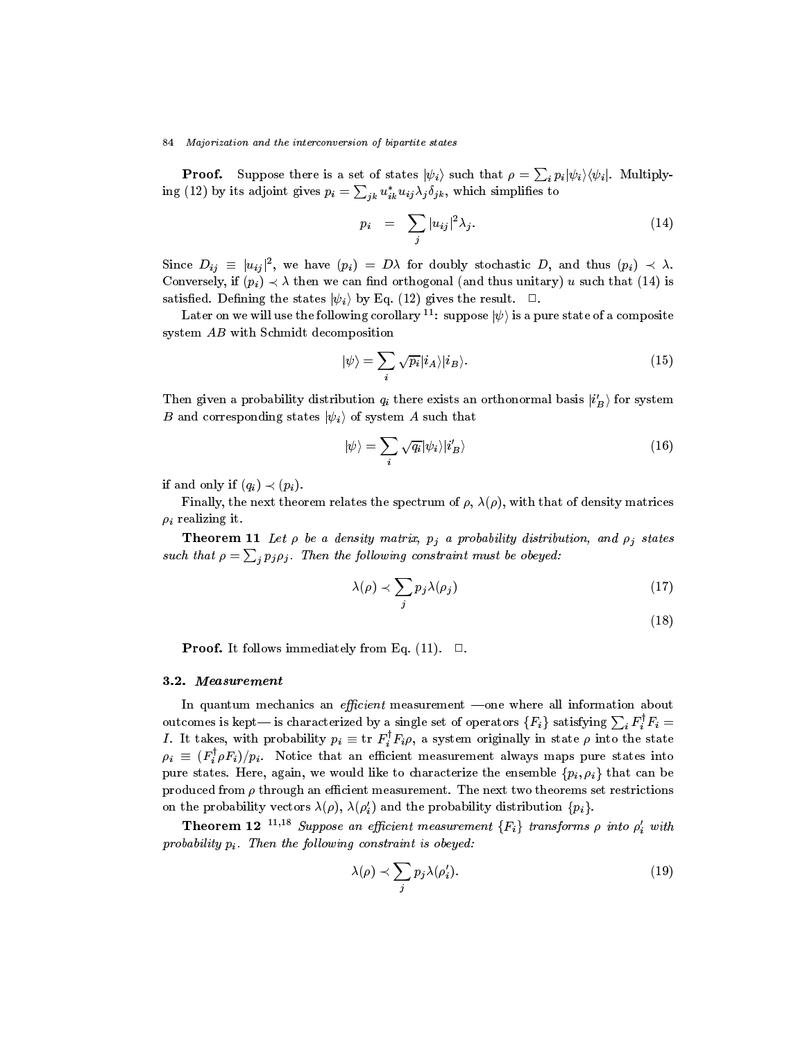**Proof.** Suppose there is a set of states  $|\psi_i\rangle$  such that  $\rho = \sum_i p_i |\psi_i\rangle \langle \psi_i|$ . Multiplying (12) by its adjoint gives  $p_i = \sum_{jk} u_{ik}^* u_{ij} \lambda_j \delta_{jk}$ , which simplifies to

$$
p_i = \sum_j |u_{ij}|^2 \lambda_j. \tag{14}
$$

Since  $D_{ij} = |u_{ij}|^2$ , we have  $|p_i| = D \lambda$  for doubly stochastic D, and thus  $|p_i| \prec \lambda$ . Conversely, if  $(p_i) \prec \lambda$  then we can find orthogonal (and thus unitary) u such that (14) is satisfied. Defining the states  $|\psi_i\rangle$  by Eq. (12) gives the result.  $\Box$ .

Later on we will use the following corollary <sup>11</sup>: suppose  $|\psi\rangle$  is a pure state of a composite system AB with Schmidt decomposition

$$
|\psi\rangle = \sum_{i} \sqrt{p_i} |i_A\rangle |i_B\rangle. \tag{15}
$$

Then given a probability distribution  $q_i$  there exists an orthonormal basis  $\ket{\imath_B}$  for system  $\mathcal{B}$  and corresponding states j iii of system A such that that the such that  $\mathcal{B}$ 

$$
|\psi\rangle = \sum_{i} \sqrt{q_i} |\psi_i\rangle |i'_B\rangle \tag{16}
$$

if and only if  $(q_i) \prec (p_i)$ .

Finally, the next theorem relates the spectrum of  $\rho$ ,  $\lambda(\rho)$ , with that of density matrices  $\rho_i$  realizing it.

**Theorem 11** Let  $\rho$  be a density matrix,  $p_j$  a probability distribution, and  $\rho_j$  states such that  $\rho = \sum_j p_j \rho_j$ . Then the following constraint must be obeyed:

$$
\lambda(\rho) \prec \sum_{j} p_j \lambda(\rho_j) \tag{17}
$$

$$
(18)
$$

**Proof.** It follows immediately from Eq.  $(11)$ .  $\Box$ .

### 3.2. Measurement

In quantum mechanics an *efficient* measurement  $\text{-one where all information about}$ outcomes is kept— is characterized by a single set of operators  $\{F_i\}$  satisfying  $\sum_i F_i^{\top} F_i =$ 1. It takes, with probability  $p_i \equiv \text{tr} \; F_i^T F_i \rho$ , a system originally in state  $\rho$  into the state  $\rho_i \equiv (F_i^{\scriptscriptstyle +}\rho F_i)/p_i.$  Notice that an efficient measurement always maps pure states into pure states. Here, again, we would like to characterize the ensemble  $\{p_i, \rho_i\}$  that can be produced from  $\rho$  through an efficient measurement. The next two theorems set restrictions on the probability vectors  $\lambda(\rho)$ ,  $\lambda(\rho_i')$  and the probability distribution  $\{p_i\}$ .

**Theorem 12** <sup>11,18</sup> Suppose an efficient measurement  $\{F_i\}$  transforms  $\rho$  into  $\rho'_i$  with probability  $p_i$ . Then the following constraint is obeyed:

$$
\lambda(\rho) \prec \sum_{j} p_j \lambda(\rho'_i). \tag{19}
$$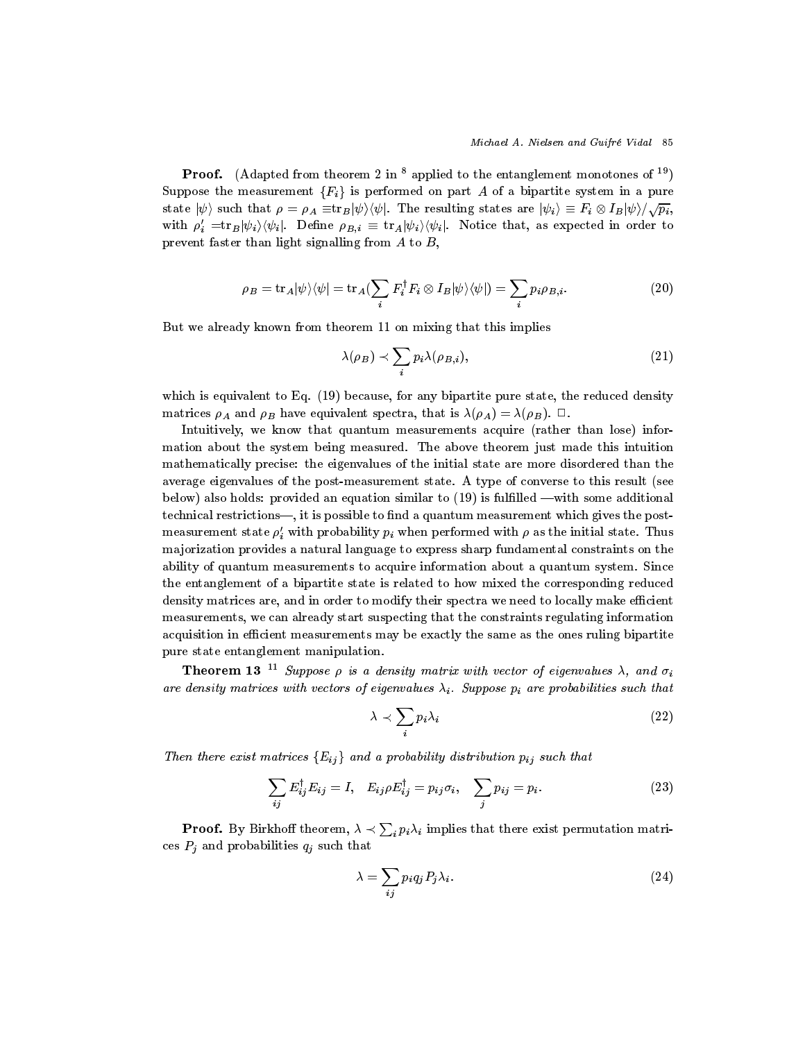**Proof.** (Adapted from theorem 2 in  $^8$  applied to the entanglement monotones of  $^{19}$ ) Suppose the measurement fFig is performed on part <sup>A</sup> of <sup>a</sup> bipartite system in <sup>a</sup> pure state  $|\psi\rangle$  such that  $\rho = \rho_A \equiv \text{tr}_B |\psi\rangle \langle \psi|$ . The resulting states are  $|\psi_i\rangle \equiv F_i \otimes I_B |\psi\rangle / \sqrt{p_i}$ , with  $\rho'_i = \text{tr}_B |\psi_i\rangle \langle \psi_i|$ . Define  $\rho_{B,i} \equiv \text{tr}_A |\psi_i\rangle \langle \psi_i|$ . Notice that, as expected in order to prevent faster than light signalling from  $A$  to  $B$ ,

$$
\rho_B = \text{tr}_A|\psi\rangle\langle\psi| = \text{tr}_A(\sum_i F_i^\dagger F_i \otimes I_B|\psi\rangle\langle\psi|) = \sum_i p_i \rho_{B,i}.
$$
 (20)

But we already known from theorem 11 on mixing that this implies

$$
\lambda(\rho_B) \prec \sum_i p_i \lambda(\rho_{B,i}), \tag{21}
$$

which is equivalent to Eq. (19) because, for any bipartite pure state, the reduced density matrices  $\rho_A$  and  $\rho_B$  have equivalent spectra, that is  $\lambda(\rho_A) = \lambda(\rho_B)$ .  $\Box$ .

Intuitively, we know that quantum measurements acquire (rather than lose) information about the system being measured. The above theorem just made this intuition mathematically precise: the eigenvalues of the initial state are more disordered than the average eigenvalues of the post-measurement state. A type of converse to this result (see below) also holds: provided an equation similar to  $(19)$  is fulfilled —with some additional technical restrictions—, it is possible to find a quantum measurement which gives the postmeasurement state  $\rho_i'$  with probability  $p_i$  when performed with  $\rho$  as the initial state. Thus ma jorization provides a natural language to express sharp fundamental constraints on the ability of quantum measurements to acquire information about a quantum system. Since the entanglement of a bipartite state is related to how mixed thecorresponding reduced density matrices are, and in order to modify their spectra we need to locally make efficient measurements, we can already start suspecting that the constraints regulating information acquisition in efficient measurements may be exactly the same as the ones ruling bipartite pure state entanglement manipulation.

**Theorem 13** <sup>11</sup> Suppose  $\rho$  is a density matrix with vector of eigenvalues  $\lambda$ , and  $\sigma_i$ are density matrices with vectors of eigenvalues  $\lambda_i$ . Suppose  $p_i$  are probabilities such that

$$
\lambda \prec \sum_{i} p_{i} \lambda_{i} \tag{22}
$$

Then there exist matrix matrix  $\mathbf{F}$  and a probability distribution pix such that  $\mathbf{F}$ 

$$
\sum_{ij} E_{ij}^{\dagger} E_{ij} = I, \quad E_{ij} \rho E_{ij}^{\dagger} = p_{ij} \sigma_i, \quad \sum_j p_{ij} = p_i. \tag{23}
$$

**Proof.** By Birkhoff theorem,  $\lambda \prec \sum_i p_i \lambda_i$  implies that there exist permutation matrices  $P_j$  and probabilities  $q_j$  such that

$$
\lambda = \sum_{ij} p_i q_j P_j \lambda_i. \tag{24}
$$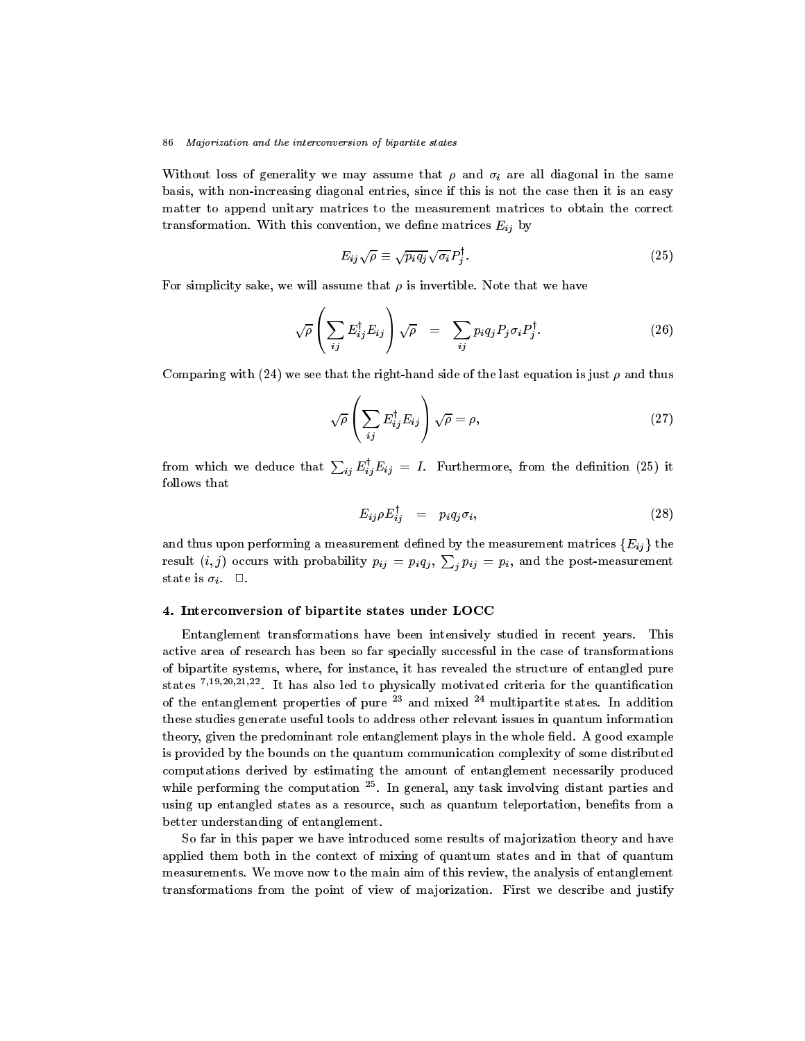Without loss of generality we may assume that  $\rho$  and  $\sigma_i$  are all diagonal in the same basis, with non-increasing diagonal entries, since if this is not the case then it is an easy matter to append unitary matrices to the measurement matrices to obtain the correct transformation. With this convention, we define matrices  $E_{ij}$  by

$$
E_{ij}\sqrt{\rho} \equiv \sqrt{p_i q_j} \sqrt{\sigma_i} P_j^{\dagger}.
$$
\n(25)

For simplicity sake, we will assume that  $\rho$  is invertible. Note that we have

$$
\sqrt{\rho} \left( \sum_{ij} E_{ij}^{\dagger} E_{ij} \right) \sqrt{\rho} = \sum_{ij} p_i q_j P_j \sigma_i P_j^{\dagger}.
$$
 (26)

Comparing with (24) we see that the right-hand side of the last equation is just  $\rho$  and thus

$$
\sqrt{\rho} \left( \sum_{ij} E_{ij}^{\dagger} E_{ij} \right) \sqrt{\rho} = \rho, \tag{27}
$$

from which we deduce that  $\sum_{ij} E_{ij}^{\dagger} E_{ij} = I$ . Furthermore, from the definition (25) it follows that

$$
E_{ij}\rho E_{ij}^{\dagger} = p_i q_j \sigma_i, \qquad (28)
$$

and thus upon performing a measurement defined by the measurement matrices  ${E_{ij}}$  the result  $(i, j)$  occurs with probability  $p_{ij} = p_i q_j$ ,  $\sum_j p_{ij} = p_i$ , and the post-measurement state is  $\sigma_i$ .  $\Box$ .

#### 4. Interconversion of bipartite states under LOCC

Entanglement transformations have been intensively studied in recent years. This active area of research has been so far specially successful in the case of transformations of bipartite systems, where, for instance, it has revealed the structure of entangled pure states 7;19;20;21;22 . It has also led to physically motivated criteria for the quantication of the entanglement properties of pure  $^{23}$  and mixed  $^{24}$  multipartite states. In addition these studies generate useful tools to address other relevant issues in quantum information theory, given the predominant role entanglement plays in the whole field. A good example is provided by the bounds on the quantum communication complexity of some distributed computations derived by estimating the amount of entanglement necessarily produced while performing the computation <sup>25</sup> . In general, any task involving distant parties and using up entangled states as a resource, such as quantum teleportation, benefits from a better understanding of entanglement.

So far in this paper we have introduced some results of ma jorization theory and have applied them both in the context of mixing of quantum states and in that of quantum measurements. We move now to the main aim of this review, the analysis of entanglement transformations from the point of view of majorization. First we describe and justify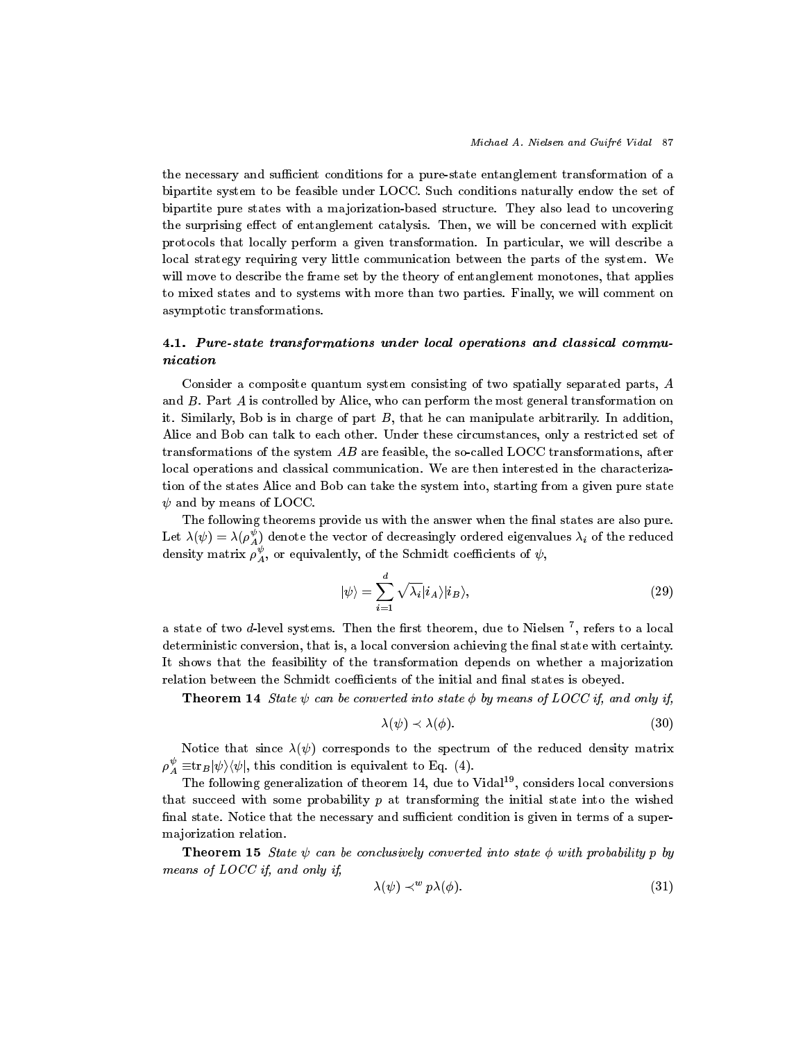the necessary and sufficient conditions for a pure-state entanglement transformation of a bipartite system to be feasible under LOCC. Such conditions naturally endow the set of bipartite pure states with a ma jorization-based structure. They also lead to uncovering the surprising effect of entanglement catalysis. Then, we will be concerned with explicit protocols that locally perform a given transformation. In particular, we will describe a local strategy requiring very little communication between the parts of the system. We will move to describe the frame set by the theory of entanglement monotones, that applies to mixed states and to systems with more than two parties. Finally, we will comment on asymptotic transformations.

## 4.1. Pure-state transformations under local operations and classical communication

Consider a composite quantum system consisting of two spatially separated parts, A and B. Part A is controlled by Alice, who can perform the most general transformation on it. Similarly, Bob is in charge of part  $B$ , that he can manipulate arbitrarily. In addition, Alice and Bob can talk to each other. Under these circumstances, only a restricted set of transformations of the system AB are feasible, the so-called LOCC transformations, after local operations and classical communication. We are then interested in the characterization of the states Alice and Bob can take the system into, starting from a given pure state  $\psi$  and by means of LOCC.

The following theorems provide us with the answer when the final states are also pure. Let  $\lambda(\psi) = \lambda(\rho_A)$  denote the vector of decreasingly ordered eigenvalues  $\lambda_i$  of the reduced density matrix  $\rho_A^r$ , or equivalently, of the Schmidt coefficients of  $\psi,$ 

$$
|\psi\rangle = \sum_{i=1}^{d} \sqrt{\lambda_i} |i_A\rangle |i_B\rangle,\tag{29}
$$

a state of two  $a$ -level systems. Then the first theorem, due to Nielsen  $\,$  , refers to a local  $\,$ deterministic conversion, that is, a local conversion achieving the final state with certainty.<br>It shows that the feasibility of the transformation depends on whether a majorization relation between the Schmidt coefficients of the initial and final states is obeyed.

**Theorem 14** State  $\psi$  can be converted into state  $\phi$  by means of LOCC if, and only if,

$$
\lambda(\psi) \prec \lambda(\phi). \tag{30}
$$

Notice that since  $\lambda(\psi)$  corresponds to the spectrum of the reduced density matrix  $\rho_A^+ \equiv$ tr $_B |\psi \rangle \langle \psi |$ , this condition is equivalent to Eq. (4).

The following generalization of theorem 14, que to Vidal<sup>--</sup>, considers local conversions that succeed with some probability  $p$  at transforming the initial state into the wished final state. Notice that the necessary and sufficient condition is given in terms of a superma jorization relation.

**Theorem 15** State  $\psi$  can be conclusively converted into state  $\phi$  with probability p by means of  $LOCC$  if, and only if,

$$
\lambda(\psi) \prec^w p\lambda(\phi). \tag{31}
$$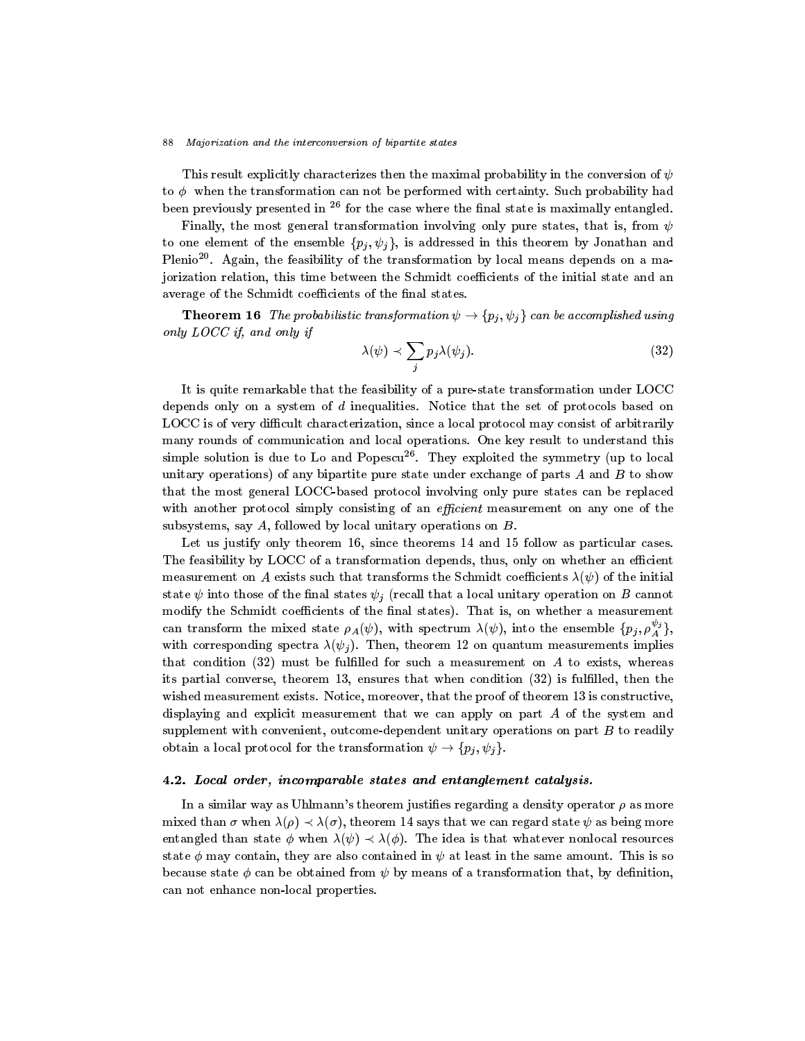This result explicitly characterizes then the maximal probability in the conversion of  $\psi$ to  $\phi$  when the transformation can not be performed with certainty. Such probability had been previously presented in  $26$  for the case where the final state is maximally entangled.

Finally, the most general transformation involving only pure states, that is, from  $\psi$ to one element of the ensemble  $\{p_j, \psi_j\}$ , is addressed in this theorem by Jonathan and Plenio<sup>21</sup>. Again, the feasibility of the transformation by local means depends on a majorization relation, this time between the Schmidt coefficients of the initial state and an average of the Schmidt coefficients of the final states.

**Theorem 16** The probabilistic transformation  $\psi \rightarrow \{p_j, \psi_j\}$  can be accomplished using only LOCC if, and only if

$$
\lambda(\psi) \prec \sum_{j} p_j \lambda(\psi_j). \tag{32}
$$

It is quite remarkable that the feasibility of a pure-state transformation under LOCC depends only on a system of  $d$  inequalities. Notice that the set of protocols based on LOCC is of very difficult characterization, since a local protocol may consist of arbitrarily many rounds of communication and local operations. One key result to understand this  $\sup$  simple solution is que to Lo and Popescu $^{-1}$ . They exploited the symmetry (up to local unitary operations) of any bipartite pure state under exchange of parts  $A$  and  $B$  to show that the most general LOCC-based protocol involving only pure states can be replaced with another protocol simply consisting of an *efficient* measurement on any one of the subsystems, say A, followed by local unitary operations on B.

Let us justify only theorem 16, since theorems 14 and 15 follow as particular cases. The feasibility by LOCC of a transformation depends, thus, only on whether an efficient measurement on A exists such that transforms the Schmidt coefficients  $\lambda(\psi)$  of the initial state  $\psi$  into those of the final states  $\psi_i$  (recall that a local unitary operation on B cannot modify the Schmidt coefficients of the final states). That is, on whether a measurement can transform the mixed state  $\rho_A(\psi)$ , with spectrum  $\lambda(\psi)$ , into the ensemble  $\{p_j, \rho_A^{\tau_j}\},$ with corresponding spectra  $\lambda(\psi_j)$ . Then, theorem 12 on quantum measurements implies that condition  $(32)$  must be fulfilled for such a measurement on A to exists, whereas its partial converse, theorem 13, ensures that when condition (32) is fulfilled, then the wished measurement exists. Notice, moreover, that the proof of theorem 13 is constructive, displaying and explicit measurement that we can apply on part A of the system and supplement with convenient, outcome-dependent unitary operations on part  $B$  to readily obtain a local protocol for the transformation  $\psi \to \{p_i, \psi_i\}.$ 

### 4.2. Local order, incomparable states and entanglement catalysis.

In a similar way as Uhlmann's theorem justifies regarding a density operator  $\rho$  as more mixed that is the same  $\{y_i\}$  , the same interesting state as  $\alpha$  regard state as  $\alpha$  is the same  $\alpha$ entangled than state when ( ) (). The idea is that whatever nonlocal resources state  $\phi$  may contain, they are also contained in  $\psi$  at least in the same amount. This is so because state  $\phi$  can be obtained from  $\psi$  by means of a transformation that, by definition, can not enhance non-local properties.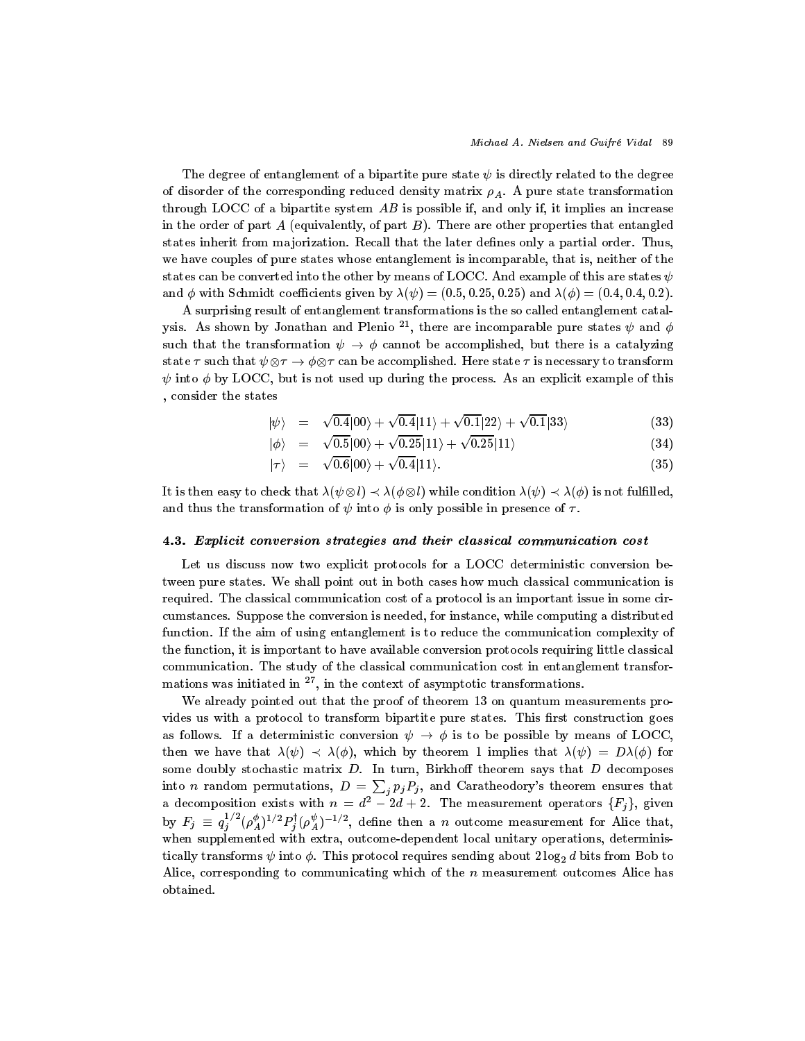The degree of entanglement of a bipartite pure state  $\psi$  is directly related to the degree of disorder of the corresponding reduced density matrix  $\rho_A$ . A pure state transformation through LOCC of a bipartite system  $AB$  is possible if, and only if, it implies an increase in the order of part A (equivalently, of part  $B$ ). There are other properties that entangled states inherit from majorization. Recall that the later defines only a partial order. Thus, we have couples of pure states whose entanglement is incomparable, that is, neither of the states can be converted into the other by means of LOCC. And example of this are states  $\psi$ and  $\phi$  with Schmidt coefficients given by  $\lambda(\psi) = (0.5, 0.25, 0.25)$  and  $\lambda(\phi) = (0.4, 0.4, 0.2)$ .

A surprising result of entanglement transformations is the so called entanglement catalysis. As shown by Jonathan and Pienio  $\,$  , there are incomparable pure states  $\psi$  and  $\varphi$ such that the transformation  $\psi \to \phi$  cannot be accomplished, but there is a catalyzing state is such that  $\tau$  , and  $\tau$  is necessary to transform the state  $\tau$  is necessary to transform the state  $\tau$  $\psi$  into  $\phi$  by LOCC, but is not used up during the process. As an explicit example of this , consider the states

$$
|\psi\rangle = \sqrt{0.4}|00\rangle + \sqrt{0.4}|11\rangle + \sqrt{0.1}|22\rangle + \sqrt{0.1}|33\rangle \tag{33}
$$

$$
|\phi\rangle = \sqrt{0.5}|00\rangle + \sqrt{0.25}|11\rangle + \sqrt{0.25}|11\rangle \tag{34}
$$

$$
|\tau\rangle = \sqrt{0.6}|00\rangle + \sqrt{0.4}|11\rangle. \tag{35}
$$

It is the condition of the condition ( ) while condition ( ) while condition ( ) is not function ( ) is not function ( ) is not function ( ) is not function ( ) is not function ( ) is not function ( ) is not function ( ) and thus the transformation of  $\psi$  into  $\phi$  is only possible in presence of  $\tau$ .

#### 4.3. Explicit conversion strategies and their classical communication cost

Let us discuss now two explicit protocols for a LOCC deterministic conversion between pure states. We shall point out in both cases how much classical communication is required. The classical communication cost of a protocol is an important issue in some circumstances. Suppose the conversion is needed, for instance, while computing a distributed function. If the aim of using entanglement is to reduce the communication complexity of the function, it is important to have available conversion protocols requiring little classical communication. The study of the classical communication cost in entanglement transformations was initiated in <sup>27</sup> , in the context of asymptotic transformations.

We already pointed out that the proof of theorem 13 on quantum measurements provides us with a protocol to transform bipartite pure states. This first construction goes as follows. If a deterministic conversion  $\psi \to \phi$  is to be possible by means of LOCC.  $t \mapsto t$  , which by the matrix  $\theta$  is the orientation by the  $t$  implies that ( )  $\theta$ some doubly stochastic matrix  $D$ . In turn, Birkhoff theorem says that  $D$  decomposes into *n* random permutations,  $D = \sum_j p_j P_j$ , and Caratheodory's theorem ensures that a decomposition exists with  $n = a^2 - 2a + 2$ . The measurement operators  $\{F_j\}$ , given by  $F_j \equiv q_j^{\gamma -} (\rho_A^{\gamma})^{1/2} P_j^{\gamma} (\rho_A^{\gamma})^{-1/2}$ , define then a n outcome measurement for Alice that, when supplemented with extra, outcome-dependent local unitary operations, deterministically transforms  $\psi$  into  $\phi$ . This protocol requires sending about 2 log<sub>2</sub> d bits from Bob to Alice, corresponding to communicating which of the  $n$  measurement outcomes Alice has obtained.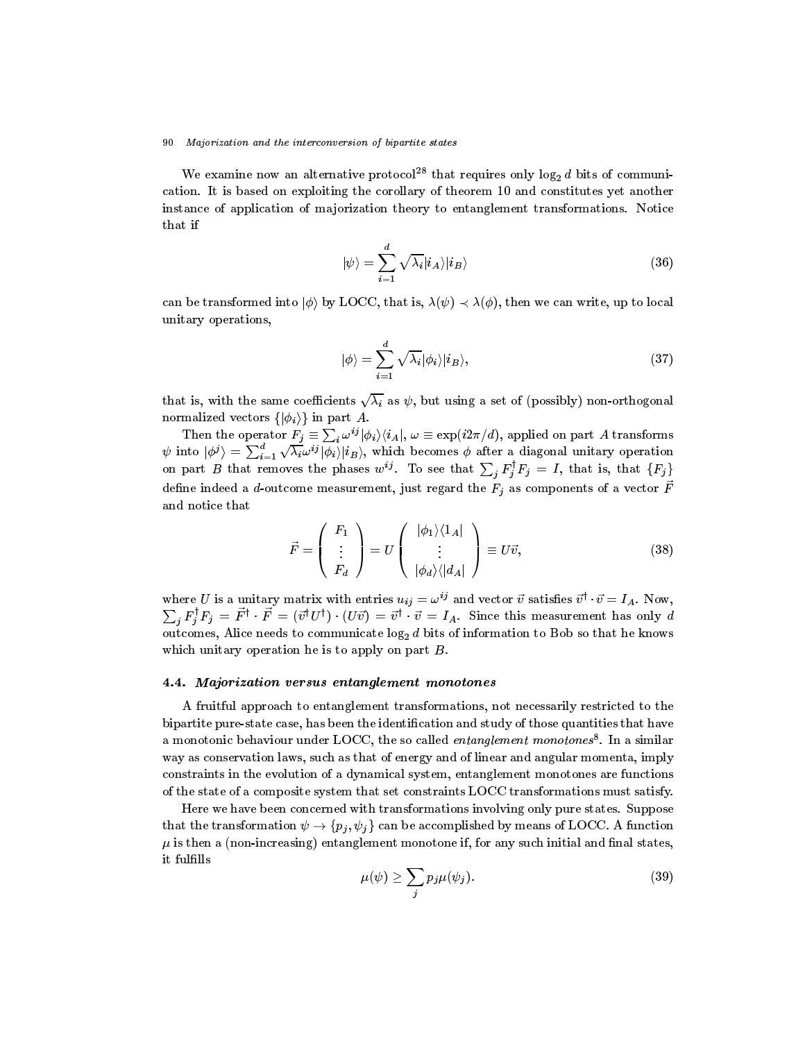We examine now an alternative protocol<sup>28</sup> that requires only log<sub>2</sub> d bits of communication. It is based on exploiting the corollary of theorem 10 and constitutes yet another instance of application of majorization theory to entanglement transformations. Notice that if

$$
|\psi\rangle = \sum_{i=1}^{d} \sqrt{\lambda_i} |i_A\rangle |i_B\rangle \tag{36}
$$

can be transformed into j<sup>i</sup> by LOCC, that is, ( ) (), then we can write, up to local unitary operations,

$$
|\phi\rangle = \sum_{i=1}^{d} \sqrt{\lambda_i} |\phi_i\rangle |i_B\rangle, \qquad (37)
$$

that is, with the same coefficients  $\sqrt{\lambda_i}$  as  $\psi$ , but using a set of (possibly) non-orthogonal normalized vectors  $\{|\phi_i\rangle\}$  in part A.

Then the operator  $F_j \equiv \sum_i \omega^{ij} |\phi_i\rangle\langle i_A|, \omega \equiv \exp(i2\pi/d),$  applied on part A transforms  $\psi$  into  $|\phi^j\rangle = \sum_{i=1}^a \sqrt{\lambda_i} \omega^{ij} |\phi_i\rangle |i_B\rangle$ , which becomes  $\phi$  after a diagonal unitary operation on part B that removes the phases  $w^{ij}$ . To see that  $\sum_i F_i^{\dagger} F_j = I$ , that is, that  $\{F_j\}$ define indeed a d-outcome measurement, just regard the  $F_j$  as components of a vector  $\vec{F}$ and notice that

$$
\vec{F} = \begin{pmatrix} F_1 \\ \vdots \\ F_d \end{pmatrix} = U \begin{pmatrix} |\phi_1\rangle\langle 1_A| \\ \vdots \\ |\phi_d\rangle\langle |d_A| \end{pmatrix} \equiv U\vec{v}, \tag{38}
$$

where U is a unitary matrix with entries  $u_{ij} = \omega^j$  and vector v satisfies  $v^j \cdot v = I_A$ . Now,<br>  $\sum_i F_i^{\dagger} F_j = \vec{F}^{\dagger} \cdot \vec{F} = (\vec{v}^{\dagger} U^{\dagger}) \cdot (U \vec{v}) = \vec{v}^{\dagger} \cdot \vec{v} = I_A$ . Since this measurement has only d outcomes, Alice needs to communicate  $\log_2 d$  bits of information to Bob so that he knows which unitary operation he is to apply on part B.

#### 4.4. Majorization versus entanglement monotones

A fruitful approach to entanglement transformations, not necessarily restricted to the bipartite pure-state case, has been the identification and study of those quantities that have a monotonic behaviour under LOCC, the so called *entanglement monotones* . In a similar way as conservation laws, such as that of energy and of linear and angular momenta, imply constraints in the evolution of a dynamical system, entanglement monotones are functions of the state of a composite system that set constraints LOCC transformations must satisfy.

Here we have been concerned with transformations involving only pure states. Suppose that the transformation  $\psi \to \{p_j, \psi_j\}$  can be accomplished by means of LOCC. A function  $\mu$  is then a (non-increasing) entanglement monotone if, for any such initial and final states, it fulfills

$$
\mu(\psi) \ge \sum_{j} p_j \mu(\psi_j). \tag{39}
$$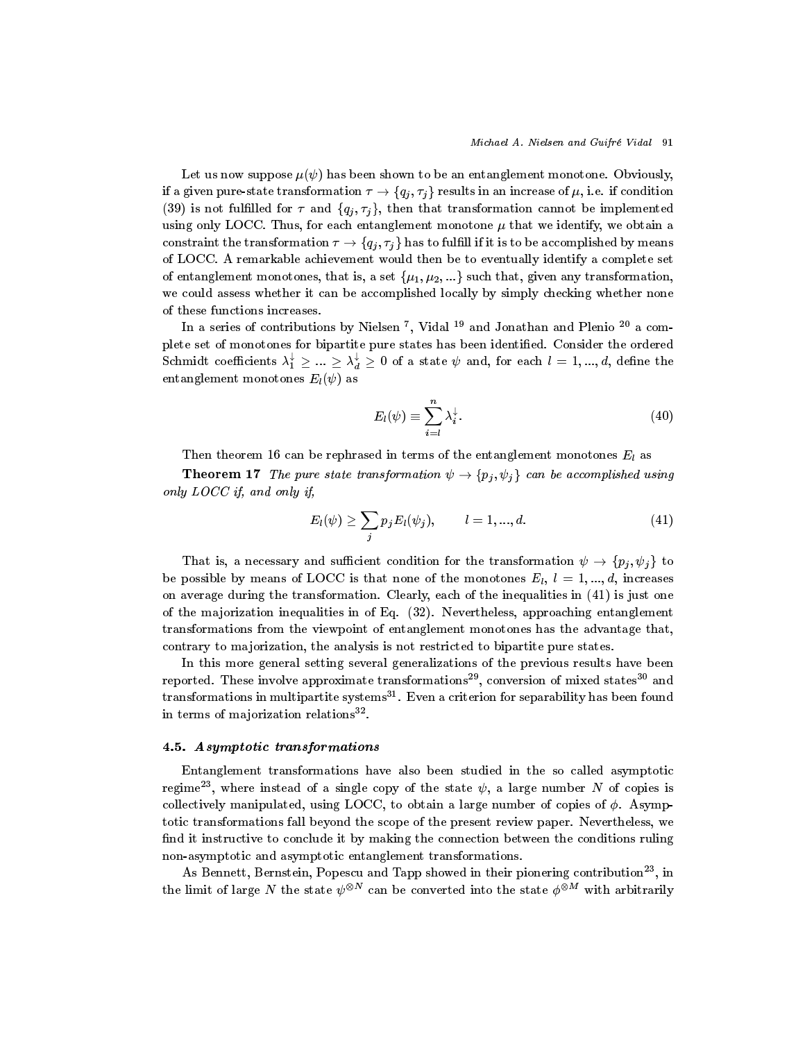Let us now suppose  $\mu(\psi)$  has been shown to be an entanglement monotone. Obviously, if a given pure-state transformation is equipped in an increase of  $\mu_{ij}$  , i.e. if  $\mu_{ij}$  and  $\mu_{ij}$  is an increase of  $\mu_{ij}$ (39) is not fulfilled for  $\tau$  and  $\{q_j, \tau_j\}$ , then that transformation cannot be implemented using only LOCC. Thus, for each entanglement monotone  $\mu$  that we identify, we obtain a constraint the transformation is to be accomplished by means  $\mathbf{r}$  is to be accomplished by means  $\mathbf{r}$ of LOCC. A remarkable achievement would then be to eventually identify a complete set of entanglement monotones, that is, a set  $\{\mu_1, \mu_2, ...\}$  such that, given any transformation, we could assess whether it can be accomplished locally by simply checking whether none of these functions increases.

In aseries of contributions by Nielsen <sup>7</sup> , Vidal <sup>19</sup> and Jonathan and Plenio <sup>20</sup> a complete set of monotones for bipartite pure states has been identied. Consider the ordered Schmidt coefficients  $\lambda_1^* \geq ... \geq \lambda_d^* \geq 0$  of a state  $\psi$  and, for each  $l = 1, ..., d$ , define the entanglement monotones  $E_l(\psi)$  as

$$
E_l(\psi) \equiv \sum_{i=l}^n \lambda_i^{\downarrow}.\tag{40}
$$

Then theorem 16 can be rephrased in terms of the entanglement monotones  $E_l$  as

**Theorem 17** The pure state transformation  $\psi \rightarrow \{p_j, \psi_j\}$  can be accomplished using only LOCC if, and only if,

$$
E_l(\psi) \ge \sum_j p_j E_l(\psi_j), \qquad l = 1, ..., d. \tag{41}
$$

That is, a necessary and sufficient condition for the transformation  $\psi \to \{p_j, \psi_j\}$  to be possible by means of LOCC is that none of the monotones  $E_l, l = 1, ..., d$ , increases on average during the transformation. Clearly, each of the inequalities in (41) is just one of the majorization inequalities in of Eq.  $(32)$ . Nevertheless, approaching entanglement transformations from the viewpoint of entanglement monotones has the advantage that, contrary to majorization, the analysis is not restricted to bipartite pure states.

In this more general setting several generalizations of the previous results have been reported. These involve approximate transformations – conversion of mixed states – and transformations in multipartite systems"". Even a criterion for separability has been found in terms of majorization relations $32$ .

#### 4.5. Asymptotic transformations

Entanglement transformations have also been studied in the so called asymptotic regime<sup>23</sup>, where instead of a single copy of the state  $\psi$ , a large number TV of copies is collectively manipulated, using LOCC, to obtain a large number of copies of  $\phi$ . Asymptotic transformations fall beyond the scope of the present review paper. Nevertheless, we find it instructive to conclude it by making the connection between the conditions ruling non-asymptotic and asymptotic entanglement transformations.

As Dennett, Dernstein, Popescu and Tapp showed in their pionering contribution<sup>--</sup>, in the limit of large TV the state  $\psi^*$  can be converted into the state  $\phi^*$  – with arbitrarily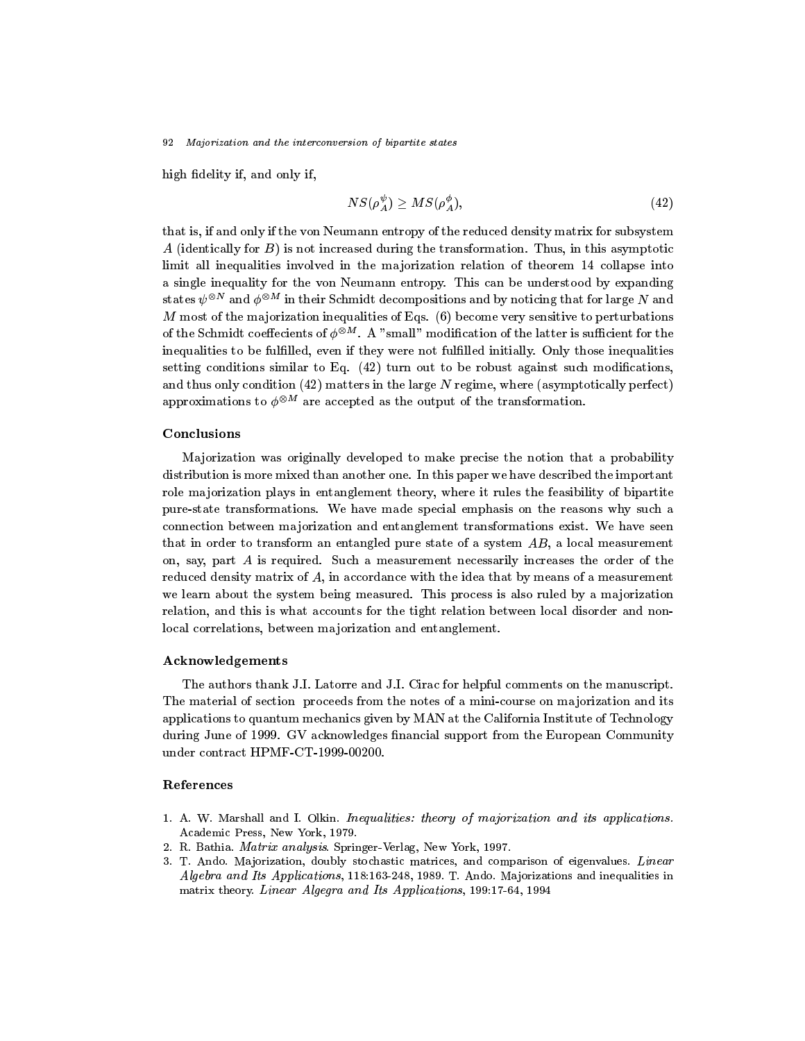high fidelity if, and only if,

$$
NS(\rho_A^{\psi}) \ge MS(\rho_A^{\phi}), \tag{42}
$$

that is, if and only if the von Neumann entropy of the reduced density matrix for subsystem A (identically for  $B$ ) is not increased during the transformation. Thus, in this asymptotic limit all inequalities involved in the ma jorization relation of theorem 14 collapse into a single inequality for the von Neumann entropy. This can be understood by expanding states  $\psi$   $\sim$  and  $\phi$   $\sim$  - in their Schmidt decompositions and by noticing that for large IV and M most of the majorization inequalities of Eqs.  $(6)$  become very sensitive to perturbations of the Schmidt coeffecients of  $\varnothing^{\circ}$  . A small -modification of the latter is sufficient for the inequalities to be fulfilled, even if they were not fulfilled initially. Only those inequalities setting conditions similar to Eq. (42) turn out to be robust against such modications, and thus only condition (42) matters in the large N regime, where (asymptotically perfect) approximations to  $\varphi$   $\rightarrow$  are accepted as the output of the transformation.

### Conclusions

Ma jorization was originally developed to make precise the notion that a probability distribution is more mixed than another one. In this paper we have described the important role ma jorization plays in entanglement theory, where it rules the feasibility of bipartite pure-state transformations. We have made special emphasis on the reasons why such a connection between majorization and entanglement transformations exist. We have seen that in order to transform an entangled pure state of a system  $AB$ , a local measurement on, say, part  $A$  is required. Such a measurement necessarily increases the order of the reduced density matrix of  $A$ , in accordance with the idea that by means of a measurement we learn about the system being measured. This process is also ruled by a majorization relation, and this is what accounts for the tight relation between local disorder and nonlocal correlations, between majorization and entanglement.

#### Acknowledgements

The authors thank J.I. Latorre and J.I. Cirac for helpful comments on themanuscript. The material of section proceeds from the notes of a mini-course on majorization and its applications to quantum mechanics given by MAN at the California Institute of Technology during June of 1999. GV acknowledges financial support from the European Community under contract HPMF-CT-1999-00200.

- 1. A. W. Marshall and I. Olkin. Inequalities: theory of majorization and its applications. Academic Press, New York, 1979.
- 2. R. Bathia. Matrix analysis. Springer-Verlag, New York, 1997.
- 3. T. Ando. Majorization, doubly stochastic matrices, and comparison of eigenvalues. Linear Algebra and Its Applications, 118:163-248, 1989. T. Ando. Majorizations and inequalities in matrix theory. Linear Algegra and Its Applications, 199:17-64, 1994